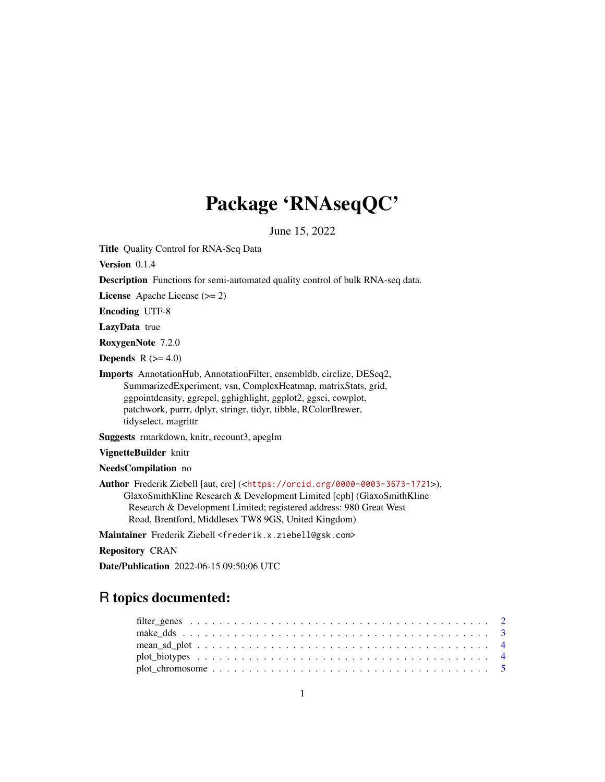# Package 'RNAseqQC'

June 15, 2022

Title Quality Control for RNA-Seq Data

Version 0.1.4

Description Functions for semi-automated quality control of bulk RNA-seq data.

License Apache License (>= 2)

Encoding UTF-8

LazyData true

RoxygenNote 7.2.0

Depends  $R$  ( $>= 4.0$ )

Imports AnnotationHub, AnnotationFilter, ensembldb, circlize, DESeq2, SummarizedExperiment, vsn, ComplexHeatmap, matrixStats, grid, ggpointdensity, ggrepel, gghighlight, ggplot2, ggsci, cowplot, patchwork, purrr, dplyr, stringr, tidyr, tibble, RColorBrewer, tidyselect, magrittr

Suggests rmarkdown, knitr, recount3, apeglm

VignetteBuilder knitr

NeedsCompilation no

Author Frederik Ziebell [aut, cre] (<<https://orcid.org/0000-0003-3673-1721>>), GlaxoSmithKline Research & Development Limited [cph] (GlaxoSmithKline Research & Development Limited; registered address: 980 Great West Road, Brentford, Middlesex TW8 9GS, United Kingdom)

Maintainer Frederik Ziebell <frederik.x.ziebell@gsk.com>

Repository CRAN

Date/Publication 2022-06-15 09:50:06 UTC

## R topics documented: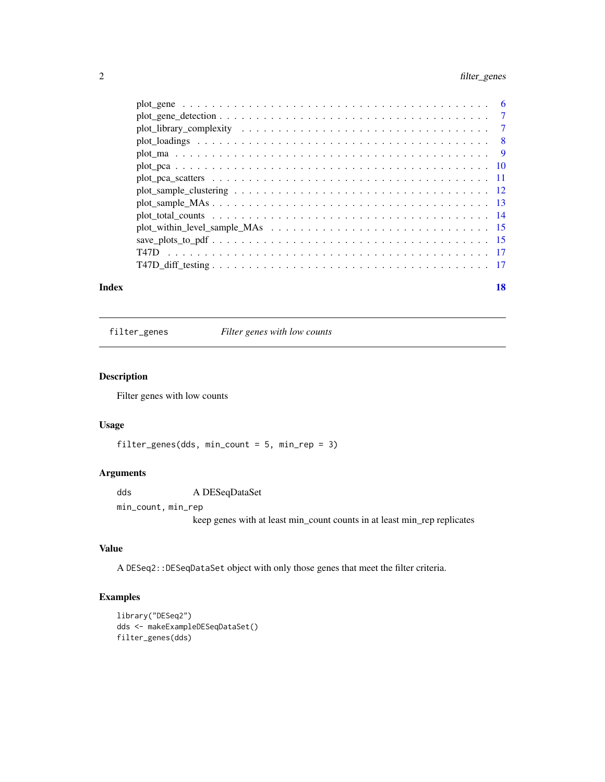## <span id="page-1-0"></span>2 filter\_genes

| Index | 18 |
|-------|----|

filter\_genes *Filter genes with low counts*

## Description

Filter genes with low counts

### Usage

```
filter_genes(dds, min_count = 5, min_rep = 3)
```
## Arguments

dds A DESeqDataSet

min\_count, min\_rep keep genes with at least min\_count counts in at least min\_rep replicates

## Value

A DESeq2::DESeqDataSet object with only those genes that meet the filter criteria.

```
library("DESeq2")
dds <- makeExampleDESeqDataSet()
filter_genes(dds)
```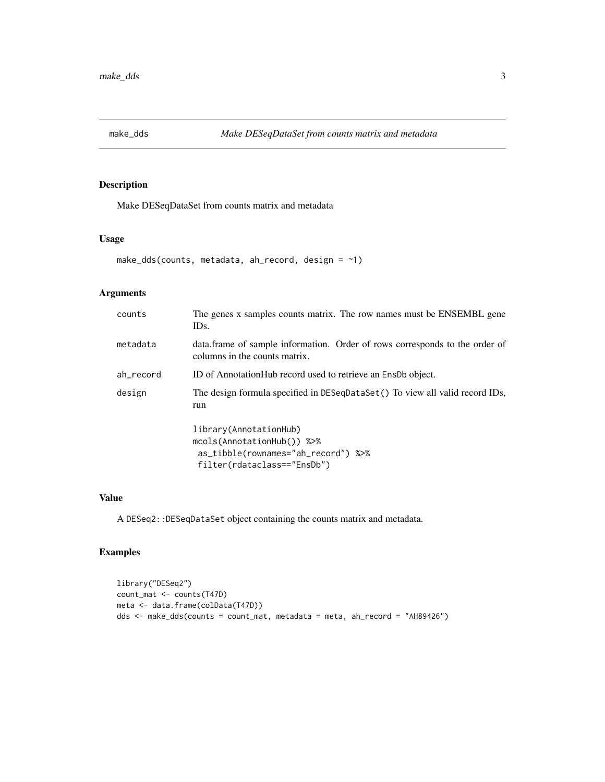<span id="page-2-0"></span>

Make DESeqDataSet from counts matrix and metadata

## Usage

```
make_dds(counts, metadata, ah_record, design = \sim1)
```
## Arguments

| counts    | The genes x samples counts matrix. The row names must be ENSEMBL gene<br>IDs.                                              |
|-----------|----------------------------------------------------------------------------------------------------------------------------|
| metadata  | data.frame of sample information. Order of rows corresponds to the order of<br>columns in the counts matrix.               |
| ah record | ID of AnnotationHub record used to retrieve an EnsDb object.                                                               |
| design    | The design formula specified in DESeqDataSet() To view all valid record IDs,<br>run                                        |
|           | library(AnnotationHub)<br>mcols(AnnotationHub()) %>%<br>as_tibble(rownames="ah_record") %>%<br>filter(rdataclass=="EnsDb") |

#### Value

A DESeq2::DESeqDataSet object containing the counts matrix and metadata.

```
library("DESeq2")
count_mat <- counts(T47D)
meta <- data.frame(colData(T47D))
dds <- make_dds(counts = count_mat, metadata = meta, ah_record = "AH89426")
```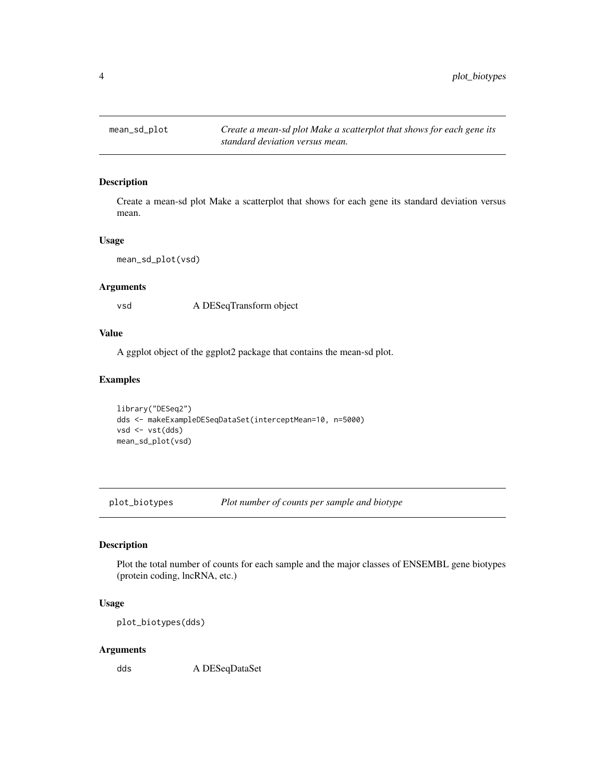<span id="page-3-0"></span>

Create a mean-sd plot Make a scatterplot that shows for each gene its standard deviation versus mean.

### Usage

mean\_sd\_plot(vsd)

## Arguments

vsd A DESeqTransform object

### Value

A ggplot object of the ggplot2 package that contains the mean-sd plot.

## Examples

```
library("DESeq2")
dds <- makeExampleDESeqDataSet(interceptMean=10, n=5000)
vsd <- vst(dds)
mean_sd_plot(vsd)
```
plot\_biotypes *Plot number of counts per sample and biotype*

## Description

Plot the total number of counts for each sample and the major classes of ENSEMBL gene biotypes (protein coding, lncRNA, etc.)

## Usage

plot\_biotypes(dds)

#### Arguments

dds A DESeqDataSet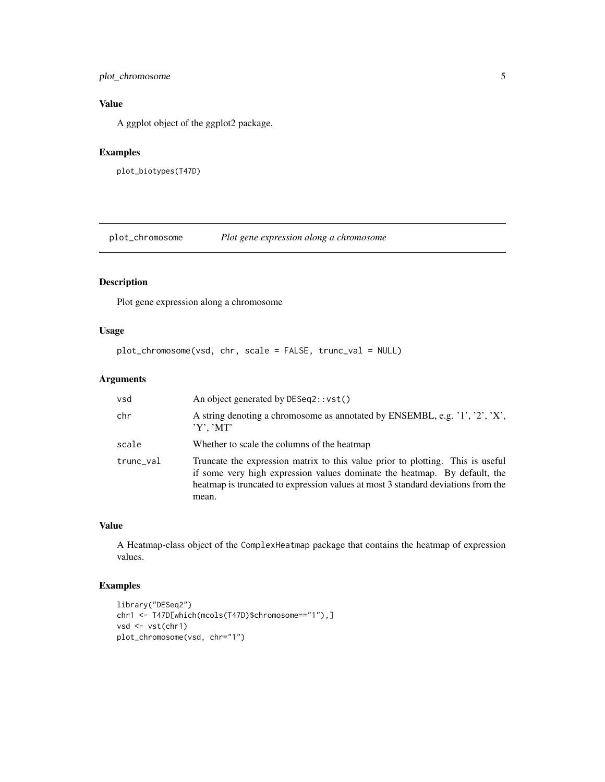## <span id="page-4-0"></span>plot\_chromosome 5

## Value

A ggplot object of the ggplot2 package.

## Examples

plot\_biotypes(T47D)

plot\_chromosome *Plot gene expression along a chromosome*

## Description

Plot gene expression along a chromosome

## Usage

```
plot_chromosome(vsd, chr, scale = FALSE, trunc_val = NULL)
```
## Arguments

| vsd       | An object generated by DESeq2::vst()                                                                                                                                                                                                                     |
|-----------|----------------------------------------------------------------------------------------------------------------------------------------------------------------------------------------------------------------------------------------------------------|
| chr       | A string denoting a chromosome as annotated by ENSEMBL, e.g. '1', '2', 'X',<br>$'Y'$ , 'MT'                                                                                                                                                              |
| scale     | Whether to scale the columns of the heatmap                                                                                                                                                                                                              |
| trunc_val | Truncate the expression matrix to this value prior to plotting. This is useful<br>if some very high expression values dominate the heatmap. By default, the<br>heatmap is truncated to expression values at most 3 standard deviations from the<br>mean. |

## Value

A Heatmap-class object of the ComplexHeatmap package that contains the heatmap of expression values.

```
library("DESeq2")
chr1 <- T47D[which(mcols(T47D)$chromosome=="1"),]
vsd <- vst(chr1)
plot_chromosome(vsd, chr="1")
```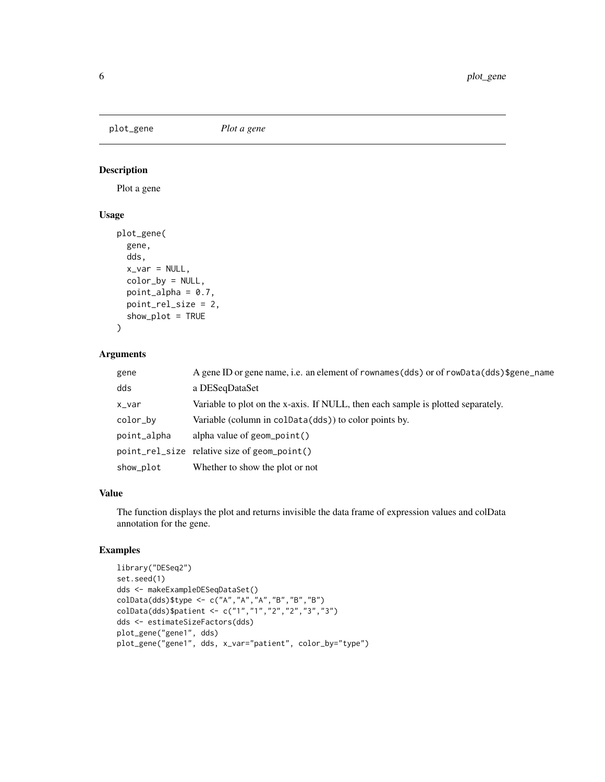<span id="page-5-0"></span>plot\_gene *Plot a gene*

## Description

Plot a gene

## Usage

```
plot_gene(
  gene,
  dds,
 x_v = NULL,color_by = NULL,
 point_alpha = 0.7,
 point_rel_size = 2,
 show_plot = TRUE
)
```
#### Arguments

| gene        | A gene ID or gene name, i.e. an element of rownames (dds) or of rowData (dds) \$gene_name |
|-------------|-------------------------------------------------------------------------------------------|
| dds         | a DESegDataSet                                                                            |
| x_var       | Variable to plot on the x-axis. If NULL, then each sample is plotted separately.          |
| color_by    | Variable (column in colData(dds)) to color points by.                                     |
| point_alpha | alpha value of $geom\_point()$                                                            |
|             | point_rel_size relative size of geom_point()                                              |
| show_plot   | Whether to show the plot or not                                                           |

#### Value

The function displays the plot and returns invisible the data frame of expression values and colData annotation for the gene.

```
library("DESeq2")
set.seed(1)
dds <- makeExampleDESeqDataSet()
colData(dds)$type <- c("A","A","A","B","B","B")
colData(dds)$patient <- c("1","1","2","2","3","3")
dds <- estimateSizeFactors(dds)
plot_gene("gene1", dds)
plot_gene("gene1", dds, x_var="patient", color_by="type")
```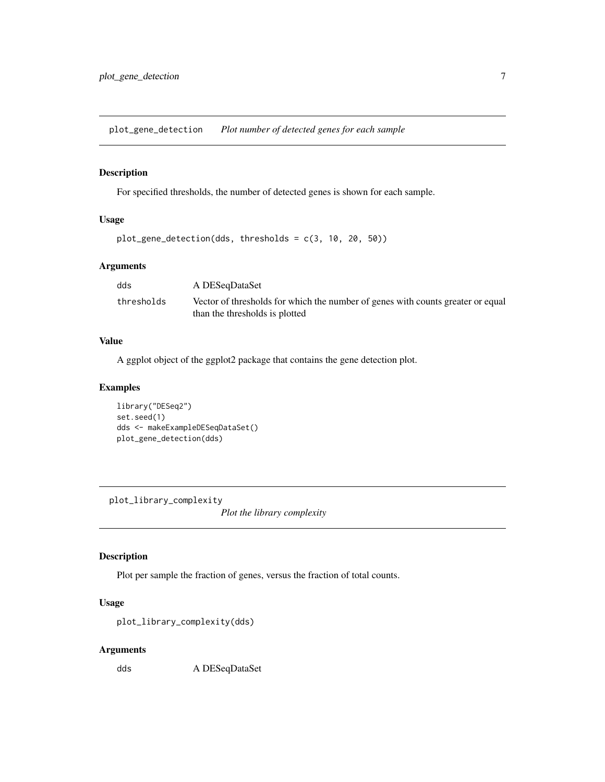<span id="page-6-0"></span>plot\_gene\_detection *Plot number of detected genes for each sample*

## Description

For specified thresholds, the number of detected genes is shown for each sample.

## Usage

```
plot_gene_detection(dds, thresholds = c(3, 10, 20, 50))
```
## Arguments

| dds        | A DESegDataSet                                                                                                    |
|------------|-------------------------------------------------------------------------------------------------------------------|
| thresholds | Vector of thresholds for which the number of genes with counts greater or equal<br>than the thresholds is plotted |

#### Value

A ggplot object of the ggplot2 package that contains the gene detection plot.

#### Examples

```
library("DESeq2")
set.seed(1)
dds <- makeExampleDESeqDataSet()
plot_gene_detection(dds)
```
plot\_library\_complexity

*Plot the library complexity*

#### Description

Plot per sample the fraction of genes, versus the fraction of total counts.

## Usage

```
plot_library_complexity(dds)
```
#### Arguments

dds A DESeqDataSet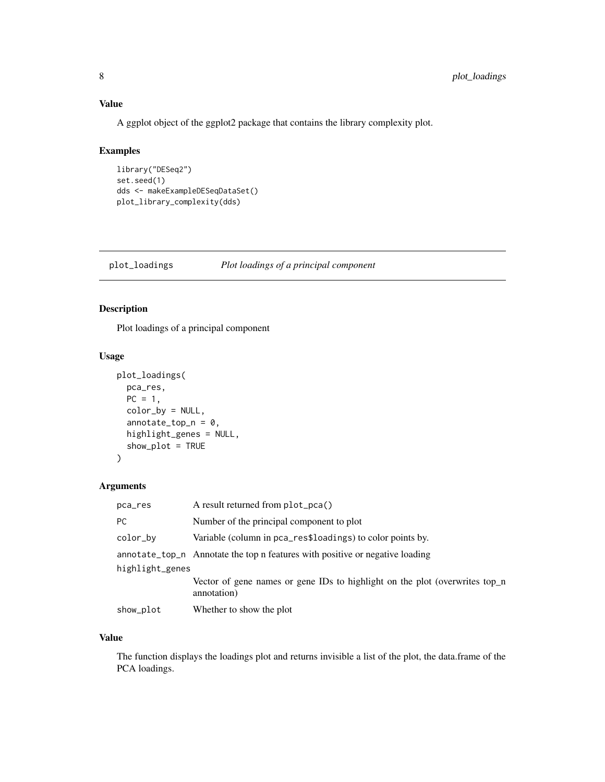## <span id="page-7-0"></span>Value

A ggplot object of the ggplot2 package that contains the library complexity plot.

#### Examples

```
library("DESeq2")
set.seed(1)
dds <- makeExampleDESeqDataSet()
plot_library_complexity(dds)
```
plot\_loadings *Plot loadings of a principal component*

## Description

Plot loadings of a principal component

## Usage

```
plot_loadings(
 pca_res,
 PC = 1,color_by = NULL,
  annotate_top_n = 0,
 highlight_genes = NULL,
 show_plot = TRUE
)
```
#### Arguments

| pca_res         | A result returned from plot_pca()                                                          |
|-----------------|--------------------------------------------------------------------------------------------|
| PC.             | Number of the principal component to plot                                                  |
| color_by        | Variable (column in pca_res\$loadings) to color points by.                                 |
|                 | annotate_top_n Annotate the top n features with positive or negative loading               |
| highlight_genes |                                                                                            |
|                 | Vector of gene names or gene IDs to highlight on the plot (overwrites top_n<br>annotation) |
| show_plot       | Whether to show the plot                                                                   |

## Value

The function displays the loadings plot and returns invisible a list of the plot, the data.frame of the PCA loadings.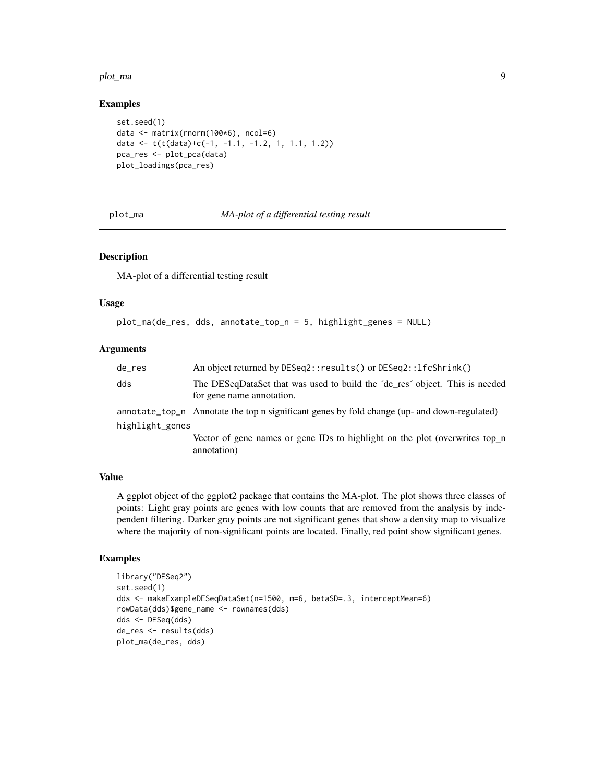#### <span id="page-8-0"></span>plot\_ma 9

#### Examples

```
set.seed(1)
data <- matrix(rnorm(100*6), ncol=6)
data <- t(t(data)+c(-1, -1.1, -1.2, 1, 1.1, 1.2))
pca_res <- plot_pca(data)
plot_loadings(pca_res)
```
#### plot\_ma *MA-plot of a differential testing result*

#### Description

MA-plot of a differential testing result

#### Usage

```
plot_ma(de_res, dds, annotate_top_n = 5, highlight_genes = NULL)
```
#### **Arguments**

| de_res          | An object returned by DESeq2:: results() or DESeq2:: lfcShrink()                                         |
|-----------------|----------------------------------------------------------------------------------------------------------|
| dds             | The DESeqDataSet that was used to build the 'de_res' object. This is needed<br>for gene name annotation. |
|                 | annotate_top_n Annotate the top n significant genes by fold change (up- and down-regulated)              |
| highlight_genes |                                                                                                          |
|                 | Vector of gene names or gene IDs to highlight on the plot (overwrites top_n<br>annotation)               |

#### Value

A ggplot object of the ggplot2 package that contains the MA-plot. The plot shows three classes of points: Light gray points are genes with low counts that are removed from the analysis by independent filtering. Darker gray points are not significant genes that show a density map to visualize where the majority of non-significant points are located. Finally, red point show significant genes.

```
library("DESeq2")
set.seed(1)
dds <- makeExampleDESeqDataSet(n=1500, m=6, betaSD=.3, interceptMean=6)
rowData(dds)$gene_name <- rownames(dds)
dds <- DESeq(dds)
de_res <- results(dds)
plot_ma(de_res, dds)
```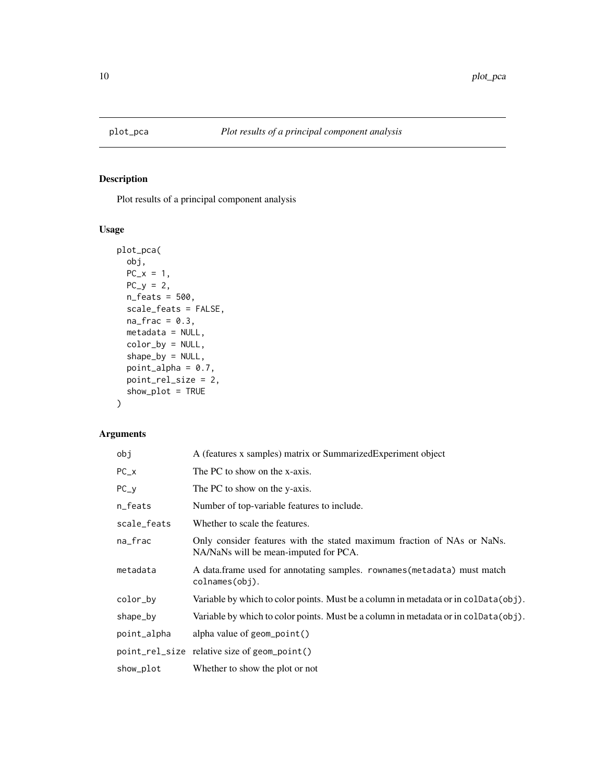<span id="page-9-0"></span>

Plot results of a principal component analysis

## Usage

```
plot_pca(
 obj,
 PC_{-}x = 1,
 PC_y = 2,
 n_feats = 500,
  scale_feats = FALSE,
 na\_frac = 0.3,
 metadata = NULL,
 color_by = NULL,
  shape_by = NULL,
 point_alpha = 0.7,
 point_rel_size = 2,
 show_plot = TRUE
)
```
## Arguments

| obj         | A (features x samples) matrix or Summarized Experiment object                                                    |
|-------------|------------------------------------------------------------------------------------------------------------------|
| $PC_{-}x$   | The PC to show on the x-axis.                                                                                    |
| $PC_y$      | The PC to show on the y-axis.                                                                                    |
| n_feats     | Number of top-variable features to include.                                                                      |
| scale_feats | Whether to scale the features.                                                                                   |
| na_frac     | Only consider features with the stated maximum fraction of NAs or NaNs.<br>NA/NaNs will be mean-imputed for PCA. |
| metadata    | A data frame used for annotating samples. rownames (metadata) must match<br>colnames(obj).                       |
| color_by    | Variable by which to color points. Must be a column in metadata or in colData(obj).                              |
| shape_by    | Variable by which to color points. Must be a column in metadata or in colData(obj).                              |
| point_alpha | alpha value of $geom\_point()$                                                                                   |
|             | point_rel_size relative size of geom_point()                                                                     |
| show_plot   | Whether to show the plot or not                                                                                  |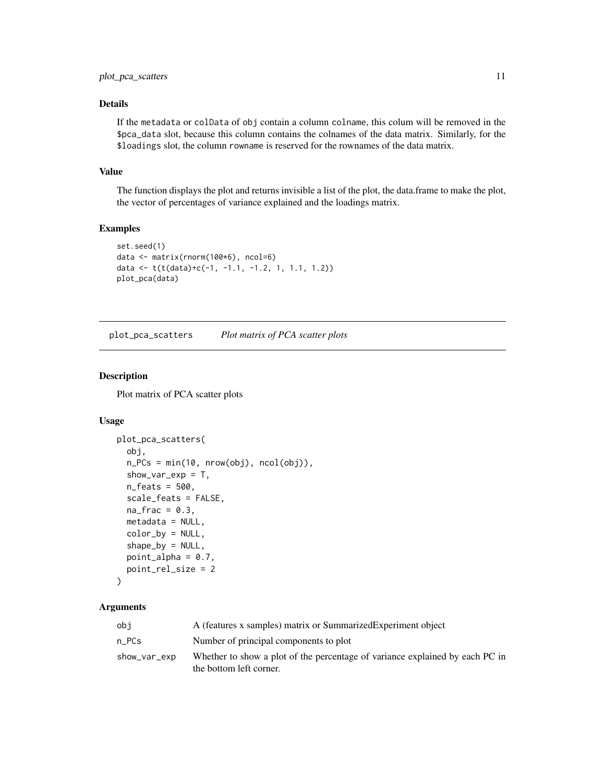## <span id="page-10-0"></span>Details

If the metadata or colData of obj contain a column colname, this colum will be removed in the \$pca\_data slot, because this column contains the colnames of the data matrix. Similarly, for the \$loadings slot, the column rowname is reserved for the rownames of the data matrix.

#### Value

The function displays the plot and returns invisible a list of the plot, the data.frame to make the plot, the vector of percentages of variance explained and the loadings matrix.

#### Examples

```
set.seed(1)
data <- matrix(rnorm(100*6), ncol=6)
data <- t(t(data)+c(-1, -1.1, -1.2, 1, 1.1, 1.2))
plot_pca(data)
```
plot\_pca\_scatters *Plot matrix of PCA scatter plots*

## Description

Plot matrix of PCA scatter plots

#### Usage

```
plot_pca_scatters(
  obj,
 n_PCs = min(10, nrow(obj), ncol(obj)),show_var_exp = T,
  n_feats = 500,
  scale_feats = FALSE,
  na\_frac = 0.3,
 metadata = NULL,
 color_by = NULL,shape_by = NULL,point_alpha = 0.7,
 point_rel_size = 2
```

```
)
```
### Arguments

| obi          | A (features x samples) matrix or Summarized Experiment object                                           |
|--------------|---------------------------------------------------------------------------------------------------------|
| n PCs        | Number of principal components to plot                                                                  |
| show_var_exp | Whether to show a plot of the percentage of variance explained by each PC in<br>the bottom left corner. |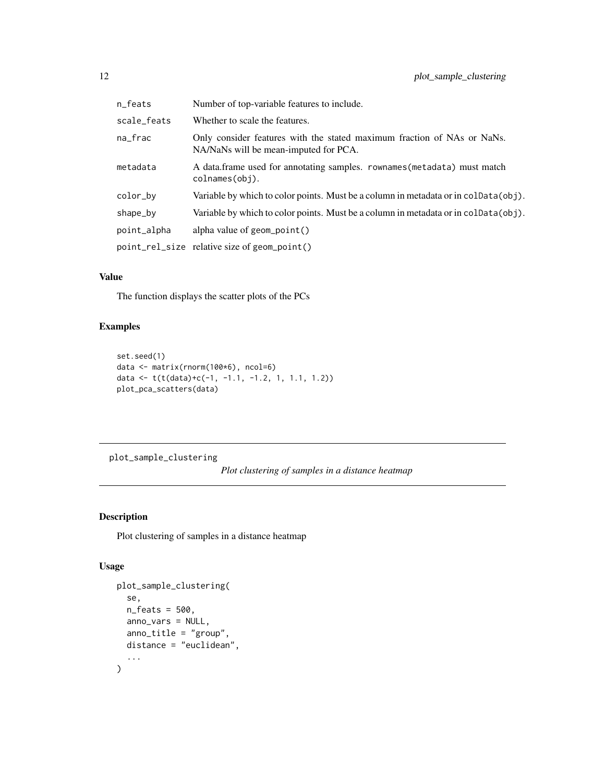<span id="page-11-0"></span>

| n_feats     | Number of top-variable features to include.                                                                      |
|-------------|------------------------------------------------------------------------------------------------------------------|
| scale_feats | Whether to scale the features.                                                                                   |
| na frac     | Only consider features with the stated maximum fraction of NAs or NaNs.<br>NA/NaNs will be mean-imputed for PCA. |
| metadata    | A data.frame used for annotating samples. rownames (metadata) must match<br>colnames(obi).                       |
| color_by    | Variable by which to color points. Must be a column in metadata or in colData(obj).                              |
| shape_by    | Variable by which to color points. Must be a column in metadata or in colData(obj).                              |
| point_alpha | alpha value of geom_point()                                                                                      |
|             | point_rel_size relative size of geom_point()                                                                     |

## Value

The function displays the scatter plots of the PCs

## Examples

```
set.seed(1)
data <- matrix(rnorm(100*6), ncol=6)
data <- t(t(data)+c(-1, -1.1, -1.2, 1, 1.1, 1.2))
plot_pca_scatters(data)
```
plot\_sample\_clustering

*Plot clustering of samples in a distance heatmap*

## Description

Plot clustering of samples in a distance heatmap

#### Usage

```
plot_sample_clustering(
  se,
  n_feats = 500,
  anno_vars = NULL,
  anno_title = "group",
  distance = "euclidean",
  ...
\mathcal{E}
```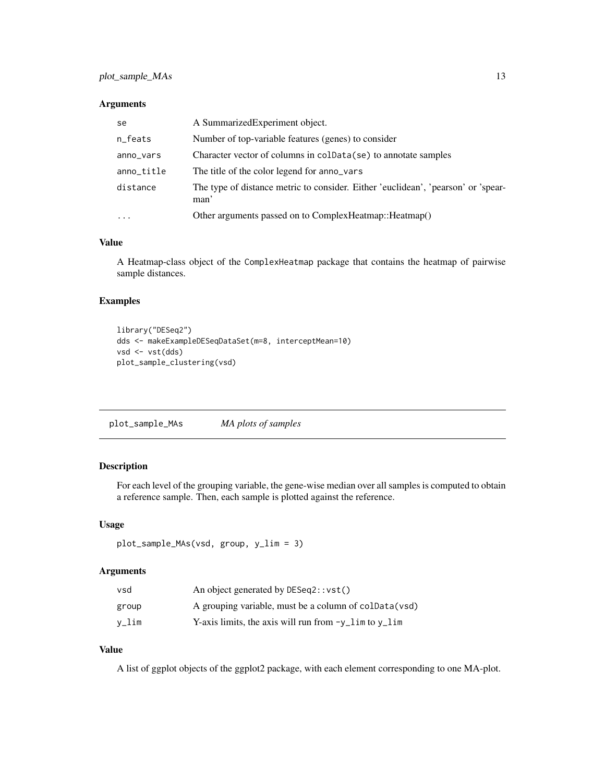#### <span id="page-12-0"></span>Arguments

| se         | A Summarized Experiment object.                                                           |
|------------|-------------------------------------------------------------------------------------------|
| n_feats    | Number of top-variable features (genes) to consider                                       |
| anno_vars  | Character vector of columns in coldata (se) to annotate samples                           |
| anno_title | The title of the color legend for anno vars                                               |
| distance   | The type of distance metric to consider. Either 'euclidean', 'pearson' or 'spear-<br>man' |
| $\ddotsc$  | Other arguments passed on to ComplexHeatmap:: Heatmap()                                   |

#### Value

A Heatmap-class object of the ComplexHeatmap package that contains the heatmap of pairwise sample distances.

## Examples

```
library("DESeq2")
dds <- makeExampleDESeqDataSet(m=8, interceptMean=10)
vsd <- vst(dds)
plot_sample_clustering(vsd)
```
plot\_sample\_MAs *MA plots of samples*

## Description

For each level of the grouping variable, the gene-wise median over all samples is computed to obtain a reference sample. Then, each sample is plotted against the reference.

## Usage

```
plot_sample_MAs(vsd, group, y_lim = 3)
```
## Arguments

| vsd   | An object generated by DESeq2::vst()                          |
|-------|---------------------------------------------------------------|
| group | A grouping variable, must be a column of coldata (vsd)        |
| v_lim | Y-axis limits, the axis will run from $-\nu$ lim to $\nu$ lim |

## Value

A list of ggplot objects of the ggplot2 package, with each element corresponding to one MA-plot.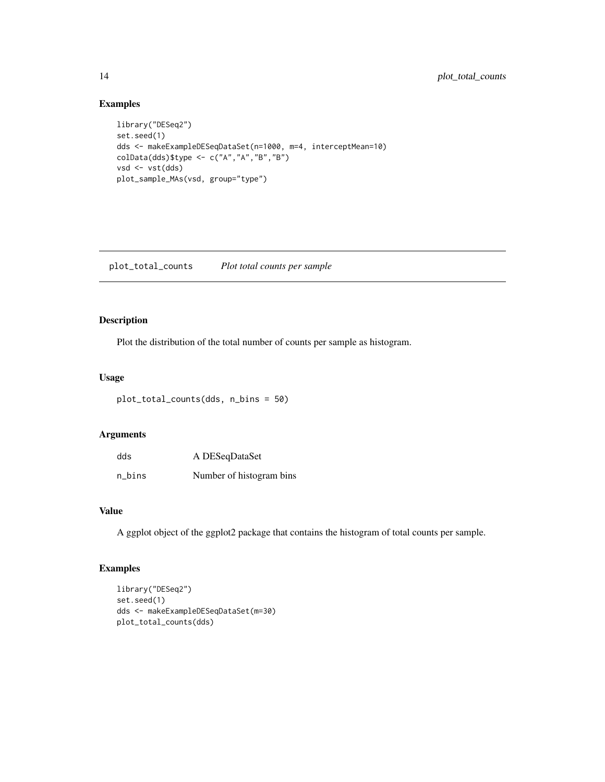## Examples

```
library("DESeq2")
set.seed(1)
dds <- makeExampleDESeqDataSet(n=1000, m=4, interceptMean=10)
colData(dds)$type <- c("A","A","B","B")
vsd <- vst(dds)
plot_sample_MAs(vsd, group="type")
```
plot\_total\_counts *Plot total counts per sample*

## Description

Plot the distribution of the total number of counts per sample as histogram.

#### Usage

```
plot_total_counts(dds, n_bins = 50)
```
## Arguments

| dds    | A DESeqDataSet           |
|--------|--------------------------|
| n_bins | Number of histogram bins |

## Value

A ggplot object of the ggplot2 package that contains the histogram of total counts per sample.

```
library("DESeq2")
set.seed(1)
dds <- makeExampleDESeqDataSet(m=30)
plot_total_counts(dds)
```
<span id="page-13-0"></span>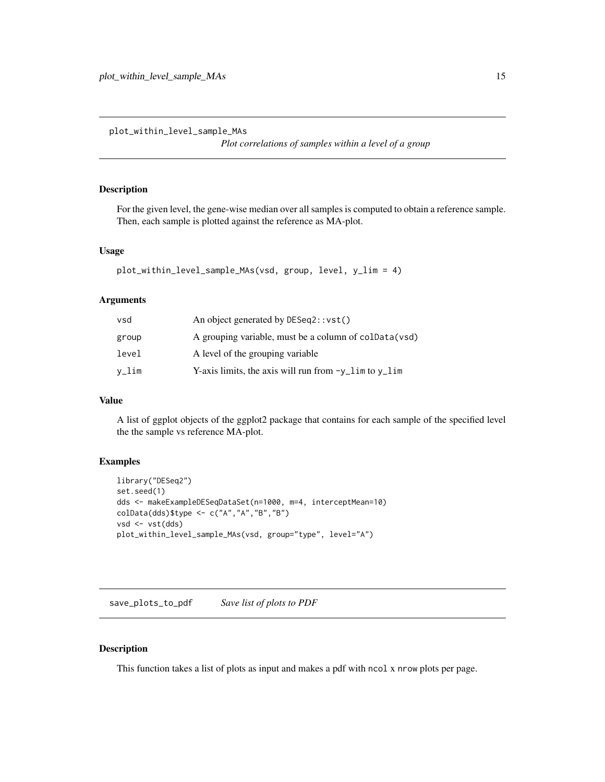<span id="page-14-0"></span>plot\_within\_level\_sample\_MAs

*Plot correlations of samples within a level of a group*

## Description

For the given level, the gene-wise median over all samples is computed to obtain a reference sample. Then, each sample is plotted against the reference as MA-plot.

#### Usage

```
plot_within_level_sample_MAs(vsd, group, level, y_lim = 4)
```
## Arguments

| vsd   | An object generated by DESeq2::vst()                    |
|-------|---------------------------------------------------------|
| group | A grouping variable, must be a column of coldata (vsd)  |
| level | A level of the grouping variable                        |
| v_lim | Y-axis limits, the axis will run from $-y$ lim to y lim |

### Value

A list of ggplot objects of the ggplot2 package that contains for each sample of the specified level the the sample vs reference MA-plot.

## Examples

```
library("DESeq2")
set.seed(1)
dds <- makeExampleDESeqDataSet(n=1000, m=4, interceptMean=10)
colData(dds)$type <- c("A","A","B","B")
vsd <- vst(dds)
plot_within_level_sample_MAs(vsd, group="type", level="A")
```
save\_plots\_to\_pdf *Save list of plots to PDF*

#### Description

This function takes a list of plots as input and makes a pdf with ncol x nrow plots per page.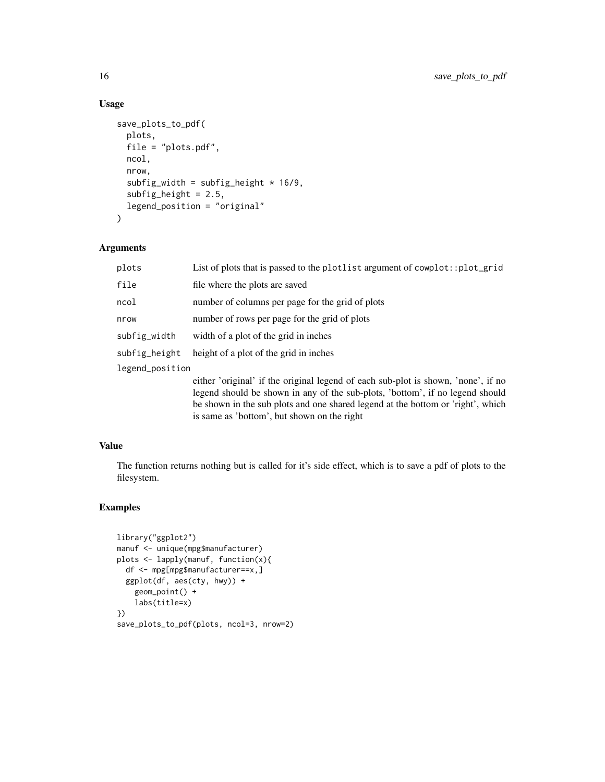## Usage

```
save_plots_to_pdf(
  plots,
  file = "plots.pdf",
  ncol,
  nrow,
  subfig_width = subfig_height * 16/9,
  subfig\_height = 2.5,
  legend_position = "original"
)
```
#### Arguments

| plots           | List of plots that is passed to the plotlist argument of cowplot::plot_grid       |  |
|-----------------|-----------------------------------------------------------------------------------|--|
| file            | file where the plots are saved                                                    |  |
| ncol            | number of columns per page for the grid of plots                                  |  |
| nrow            | number of rows per page for the grid of plots                                     |  |
| subfig_width    | width of a plot of the grid in inches                                             |  |
| subfig_height   | height of a plot of the grid in inches                                            |  |
| legend_position |                                                                                   |  |
|                 | either 'original' if the original legend of each sub-plot is shown, 'none', if no |  |

legend should be shown in any of the sub-plots, 'bottom', if no legend should be shown in the sub plots and one shared legend at the bottom or 'right', which is same as 'bottom', but shown on the right

### Value

The function returns nothing but is called for it's side effect, which is to save a pdf of plots to the filesystem.

```
library("ggplot2")
manuf <- unique(mpg$manufacturer)
plots <- lapply(manuf, function(x){
  df <- mpg[mpg$manufacturer==x,]
  ggplot(df, aes(cty, hwy)) +
   geom_point() +
    labs(title=x)
})
save_plots_to_pdf(plots, ncol=3, nrow=2)
```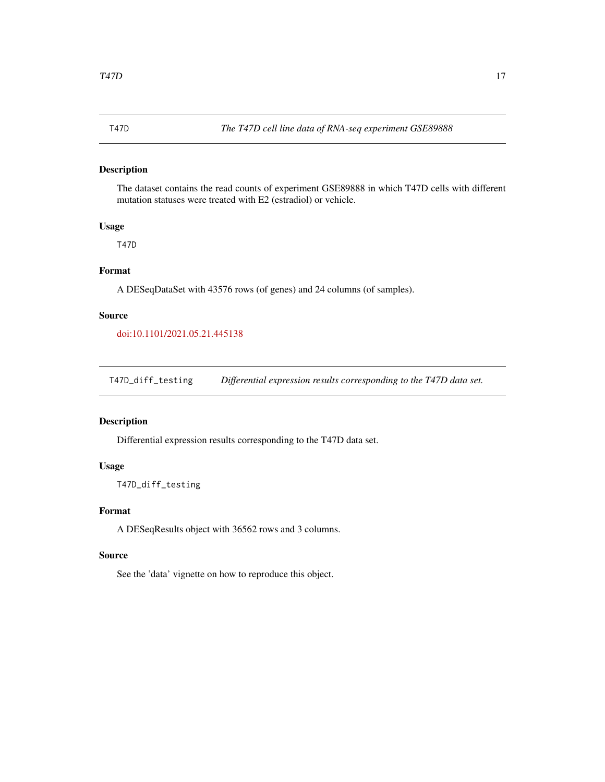<span id="page-16-0"></span>The dataset contains the read counts of experiment GSE89888 in which T47D cells with different mutation statuses were treated with E2 (estradiol) or vehicle.

#### Usage

T47D

## Format

A DESeqDataSet with 43576 rows (of genes) and 24 columns (of samples).

#### Source

[doi:10.1101/2021.05.21.445138](https://doi.org/10.1101/2021.05.21.445138)

T47D\_diff\_testing *Differential expression results corresponding to the T47D data set.*

#### Description

Differential expression results corresponding to the T47D data set.

## Usage

T47D\_diff\_testing

### Format

A DESeqResults object with 36562 rows and 3 columns.

#### Source

See the 'data' vignette on how to reproduce this object.